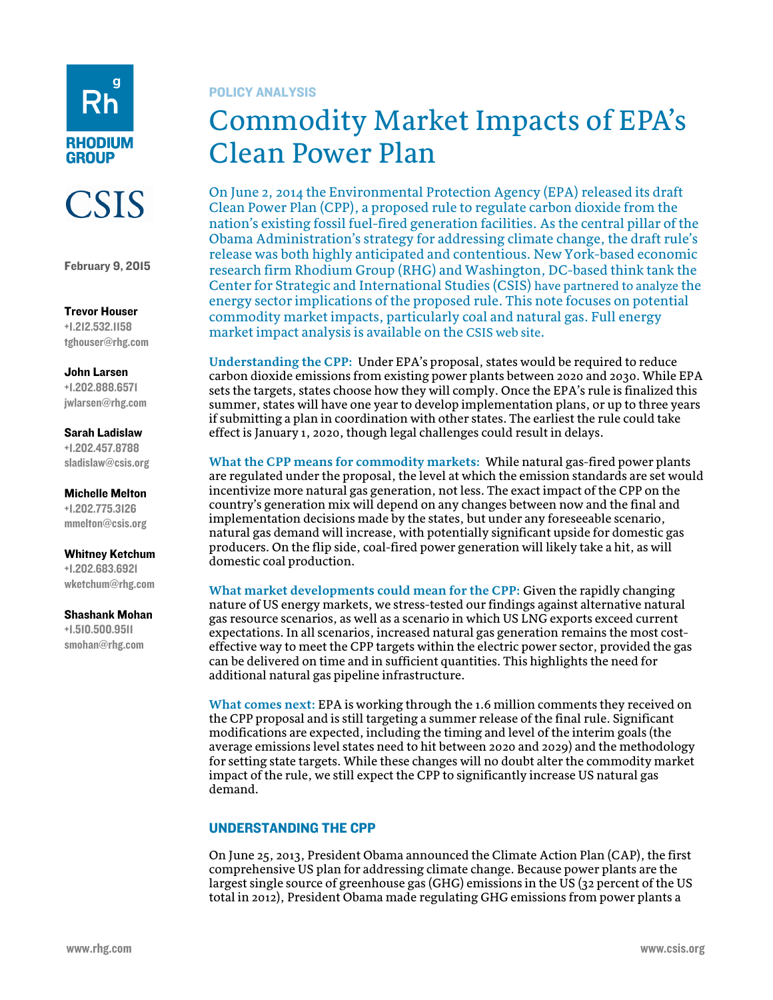



February 9, 2015

## Trevor Houser +1.212.532.1158 tghouser@rhg.com

John Larsen +1.202.888.6571 jwlarsen@rhg.com

## Sarah Ladislaw

+1.202.457.8788 sladislaw@csis.org

Michelle Melton +1.202.775.3126 mmelton@csis.org

Whitney Ketchum +1.202.683.6921 wketchum@rhg.com

## Shashank Mohan

+1.510.500.9511 smohan@rhg.com

## POLICY ANALYSIS

# Commodity Market Impacts of EPA's Clean Power Plan

On June 2, 2014 the Environmental Protection Agency (EPA) released its draft Clean Power Plan (CPP), a proposed rule to regulate carbon dioxide from the nation's existing fossil fuel-fired generation facilities. As the central pillar of the Obama Administration's strategy for addressing climate change, the draft rule's release was both highly anticipated and contentious. New York-based economic research firm Rhodium Group (RHG) and Washington, DC-based think tank the Center for Strategic and International Studies (CSIS) have partnered to analyze the energy sector implications of the proposed rule. This note focuses on potential commodity market impacts, particularly coal and natural gas. Full energy market impact analysis is available on the CSIS web site.

**Understanding the CPP:** Under EPA's proposal, states would be required to reduce carbon dioxide emissions from existing power plants between 2020 and 2030. While EPA sets the targets, states choose how they will comply. Once the EPA's rule is finalized this summer, states will have one year to develop implementation plans, or up to three years if submitting a plan in coordination with other states. The earliest the rule could take effect is January 1, 2020, though legal challenges could result in delays.

**What the CPP means for commodity markets:** While natural gas-fired power plants are regulated under the proposal, the level at which the emission standards are set would incentivize more natural gas generation, not less. The exact impact of the CPP on the country's generation mix will depend on any changes between now and the final and implementation decisions made by the states, but under any foreseeable scenario, natural gas demand will increase, with potentially significant upside for domestic gas producers. On the flip side, coal-fired power generation will likely take a hit, as will domestic coal production.

**What market developments could mean for the CPP:** Given the rapidly changing nature of US energy markets, we stress-tested our findings against alternative natural gas resource scenarios, as well as a scenario in which US LNG exports exceed current expectations. In all scenarios, increased natural gas generation remains the most costeffective way to meet the CPP targets within the electric power sector, provided the gas can be delivered on time and in sufficient quantities. This highlights the need for additional natural gas pipeline infrastructure.

**What comes next:** EPA is working through the 1.6 million comments they received on the CPP proposal and is still targeting a summer release of the final rule. Significant modifications are expected, including the timing and level of the interim goals (the average emissions level states need to hit between 2020 and 2029) and the methodology for setting state targets. While these changes will no doubt alter the commodity market impact of the rule, we still expect the CPP to significantly increase US natural gas demand.

# UNDERSTANDING THE CPP

On June 25, 2013, President Obama announced the Climate Action Plan (CAP), the first comprehensive US plan for addressing climate change. Because power plants are the largest single source of greenhouse gas (GHG) emissions in the US (32 percent of the US total in 2012), President Obama made regulating GHG emissions from power plants a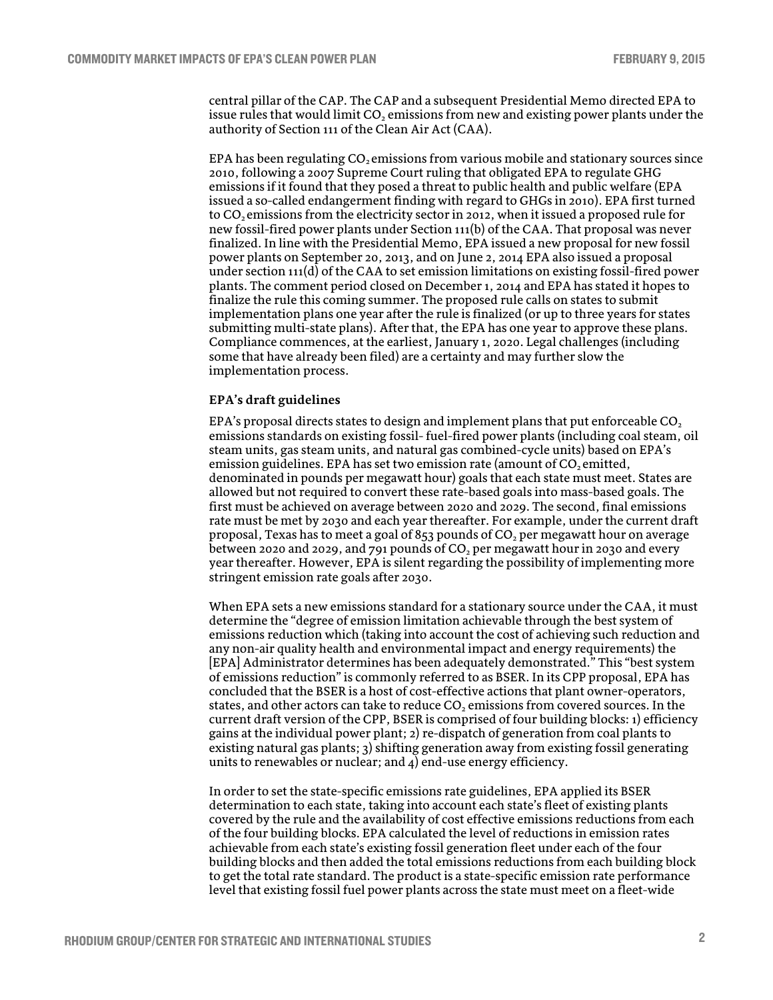central pillar of the CAP. The CAP and a subsequent Presidential Memo directed EPA to issue rules that would limit CO<sub>2</sub> emissions from new and existing power plants under the authority of Section 111 of the Clean Air Act (CAA).

EPA has been regulating  $CO<sub>2</sub>$  emissions from various mobile and stationary sources since 2010, following a 2007 Supreme Court ruling that obligated EPA to regulate GHG emissions if it found that they posed a threat to public health and public welfare (EPA issued a so-called endangerment finding with regard to GHGs in 2010). EPA first turned to  $CO<sub>2</sub>$  emissions from the electricity sector in 2012, when it issued a proposed rule for new fossil-fired power plants under Section 111(b) of the CAA. That proposal was never finalized. In line with the Presidential Memo, EPA issued a new proposal for new fossil power plants on September 20, 2013, and on June 2, 2014 EPA also issued a proposal under section  $111(d)$  of the CAA to set emission limitations on existing fossil-fired power plants. The comment period closed on December 1, 2014 and EPA has stated it hopes to finalize the rule this coming summer. The proposed rule calls on states to submit implementation plans one year after the rule is finalized (or up to three years for states submitting multi-state plans). After that, the EPA has one year to approve these plans. Compliance commences, at the earliest, January 1, 2020. Legal challenges (including some that have already been filed) are a certainty and may further slow the implementation process.

#### **EPA's draft guidelines**

EPA's proposal directs states to design and implement plans that put enforceable  $CO<sub>2</sub>$ emissions standards on existing fossil- fuel-fired power plants (including coal steam, oil steam units, gas steam units, and natural gas combined-cycle units) based on EPA's emission guidelines. EPA has set two emission rate (amount of  $CO<sub>2</sub>$  emitted, denominated in pounds per megawatt hour) goals that each state must meet. States are allowed but not required to convert these rate-based goals into mass-based goals. The first must be achieved on average between 2020 and 2029. The second, final emissions rate must be met by 2030 and each year thereafter. For example, under the current draft proposal, Texas has to meet a goal of 853 pounds of  $CO<sub>2</sub>$  per megawatt hour on average between 2020 and 2029, and 791 pounds of  $CO<sub>2</sub>$  per megawatt hour in 2030 and every year thereafter. However, EPA is silent regarding the possibility of implementing more stringent emission rate goals after 2030.

When EPA sets a new emissions standard for a stationary source under the CAA, it must determine the "degree of emission limitation achievable through the best system of emissions reduction which (taking into account the cost of achieving such reduction and any non-air quality health and environmental impact and energy requirements) the [EPA] Administrator determines has been adequately demonstrated." This "best system of emissions reduction" is commonly referred to as BSER. In its CPP proposal, EPA has concluded that the BSER is a host of cost-effective actions that plant owner-operators, states, and other actors can take to reduce  $CO<sub>2</sub>$  emissions from covered sources. In the current draft version of the CPP, BSER is comprised of four building blocks: 1) efficiency gains at the individual power plant; 2) re-dispatch of generation from coal plants to existing natural gas plants; 3) shifting generation away from existing fossil generating units to renewables or nuclear; and 4) end-use energy efficiency.

In order to set the state-specific emissions rate guidelines, EPA applied its BSER determination to each state, taking into account each state's fleet of existing plants covered by the rule and the availability of cost effective emissions reductions from each of the four building blocks. EPA calculated the level of reductions in emission rates achievable from each state's existing fossil generation fleet under each of the four building blocks and then added the total emissions reductions from each building block to get the total rate standard. The product is a state-specific emission rate performance level that existing fossil fuel power plants across the state must meet on a fleet-wide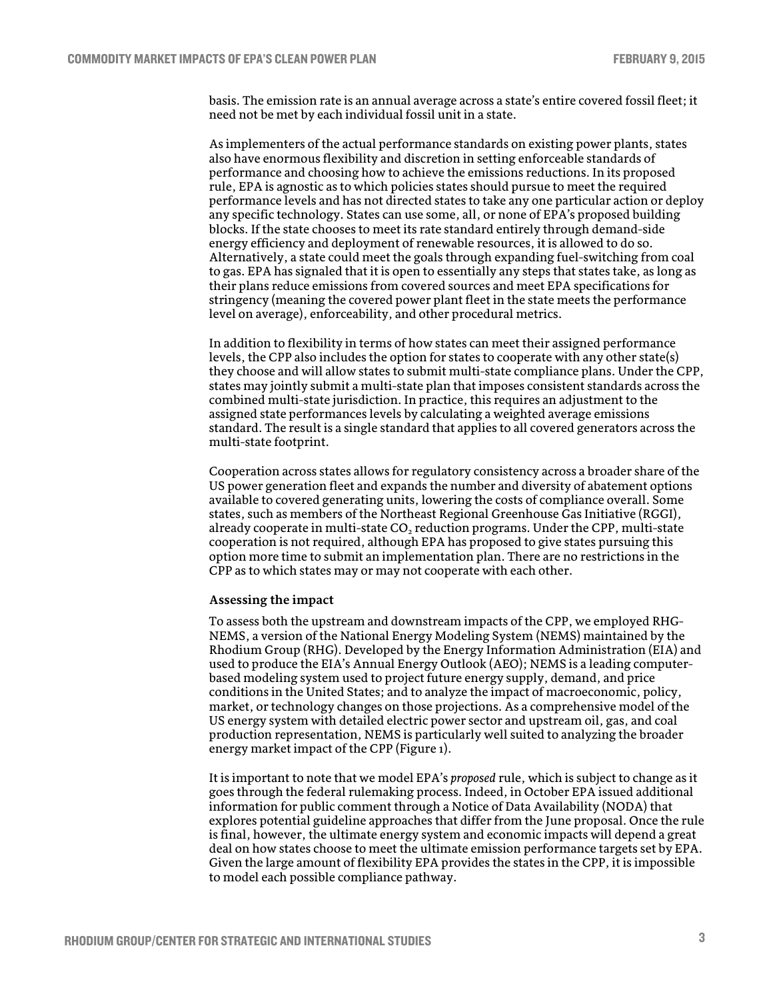basis. The emission rate is an annual average across a state's entire covered fossil fleet; it need not be met by each individual fossil unit in a state.

As implementers of the actual performance standards on existing power plants, states also have enormous flexibility and discretion in setting enforceable standards of performance and choosing how to achieve the emissions reductions. In its proposed rule, EPA is agnostic as to which policies states should pursue to meet the required performance levels and has not directed states to take any one particular action or deploy any specific technology. States can use some, all, or none of EPA's proposed building blocks. If the state chooses to meet its rate standard entirely through demand-side energy efficiency and deployment of renewable resources, it is allowed to do so. Alternatively, a state could meet the goals through expanding fuel-switching from coal to gas. EPA has signaled that it is open to essentially any steps that states take, as long as their plans reduce emissions from covered sources and meet EPA specifications for stringency (meaning the covered power plant fleet in the state meets the performance level on average), enforceability, and other procedural metrics.

In addition to flexibility in terms of how states can meet their assigned performance levels, the CPP also includes the option for states to cooperate with any other state(s) they choose and will allow states to submit multi-state compliance plans. Under the CPP, states may jointly submit a multi-state plan that imposes consistent standards across the combined multi-state jurisdiction. In practice, this requires an adjustment to the assigned state performances levels by calculating a weighted average emissions standard. The result is a single standard that applies to all covered generators across the multi-state footprint.

Cooperation across states allows for regulatory consistency across a broader share of the US power generation fleet and expands the number and diversity of abatement options available to covered generating units, lowering the costs of compliance overall. Some states, such as members of the Northeast Regional Greenhouse Gas Initiative (RGGI), already cooperate in multi-state  $CO<sub>2</sub>$  reduction programs. Under the CPP, multi-state cooperation is not required, although EPA has proposed to give states pursuing this option more time to submit an implementation plan. There are no restrictions in the CPP as to which states may or may not cooperate with each other.

#### **Assessing the impact**

To assess both the upstream and downstream impacts of the CPP, we employed RHG-NEMS, a version of the National Energy Modeling System (NEMS) maintained by the Rhodium Group (RHG). Developed by the Energy Information Administration (EIA) and used to produce the EIA's Annual Energy Outlook (AEO); NEMS is a leading computerbased modeling system used to project future energy supply, demand, and price conditions in the United States; and to analyze the impact of macroeconomic, policy, market, or technology changes on those projections. As a comprehensive model of the US energy system with detailed electric power sector and upstream oil, gas, and coal production representation, NEMS is particularly well suited to analyzing the broader energy market impact of the CPP (Figure 1).

It is important to note that we model EPA's *proposed* rule, which is subject to change as it goes through the federal rulemaking process. Indeed, in October EPA issued additional information for public comment through a Notice of Data Availability (NODA) that explores potential guideline approaches that differ from the June proposal. Once the rule is final, however, the ultimate energy system and economic impacts will depend a great deal on how states choose to meet the ultimate emission performance targets set by EPA. Given the large amount of flexibility EPA provides the states in the CPP, it is impossible to model each possible compliance pathway.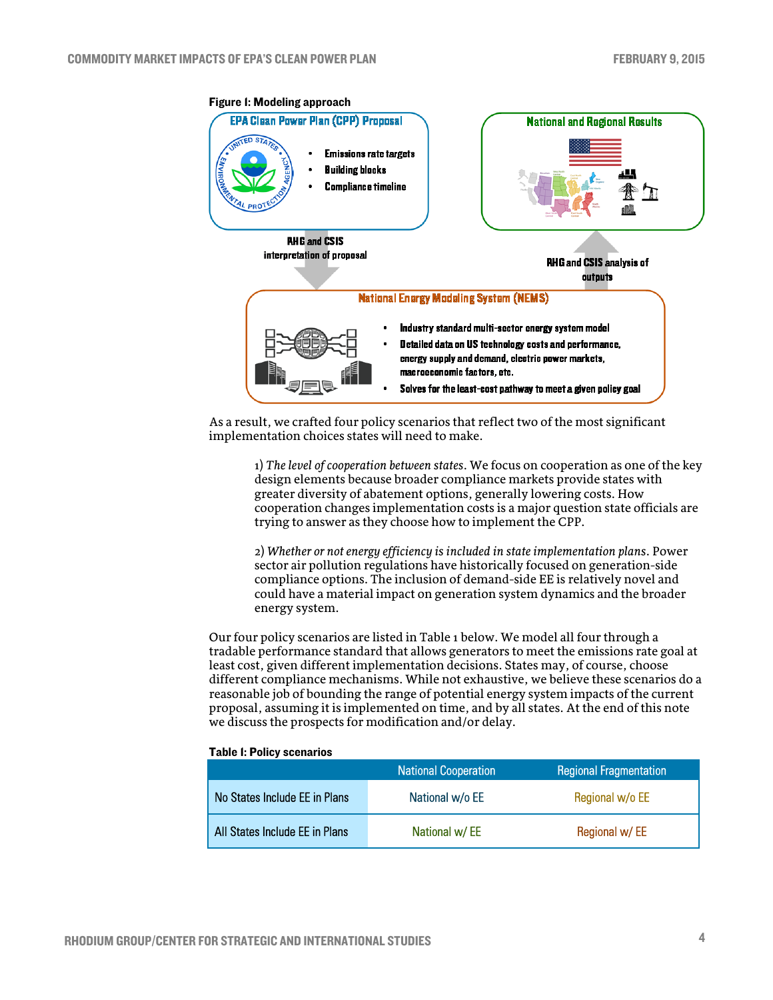

As a result, we crafted four policy scenarios that reflect two of the most significant implementation choices states will need to make.

1) *The level of cooperation between states*. We focus on cooperation as one of the key design elements because broader compliance markets provide states with greater diversity of abatement options, generally lowering costs. How cooperation changes implementation costs is a major question state officials are trying to answer as they choose how to implement the CPP.

2) *Whether or not energy efficiency is included in state implementation plans*. Power sector air pollution regulations have historically focused on generation-side compliance options. The inclusion of demand-side EE is relatively novel and could have a material impact on generation system dynamics and the broader energy system.

Our four policy scenarios are listed in Table 1 below. We model all four through a tradable performance standard that allows generators to meet the emissions rate goal at least cost, given different implementation decisions. States may, of course, choose different compliance mechanisms. While not exhaustive, we believe these scenarios do a reasonable job of bounding the range of potential energy system impacts of the current proposal, assuming it is implemented on time, and by all states. At the end of this note we discuss the prospects for modification and/or delay.

|  | <b>Table I: Policy scenarios</b> |
|--|----------------------------------|
|  |                                  |

|                                | <b>National Cooperation</b> | <b>Regional Fragmentation</b> |
|--------------------------------|-----------------------------|-------------------------------|
| No States Include EE in Plans  | National w/o EE             | Regional w/o EE               |
| All States Include EE in Plans | National w/EE               | Regional w/EE                 |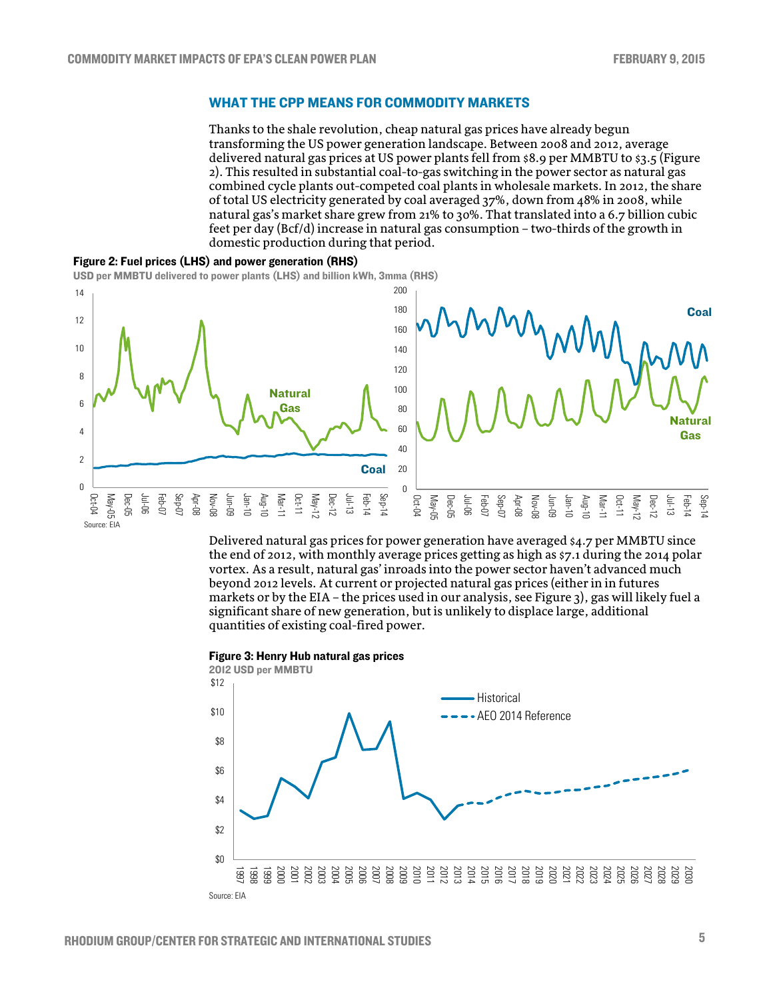## WHAT THE CPP MEANS FOR COMMODITY MARKETS

Thanks to the shale revolution, cheap natural gas prices have already begun transforming the US power generation landscape. Between 2008 and 2012, average delivered natural gas prices at US power plants fell from \$8.9 per MMBTU to \$3.5 (Figure 2). This resulted in substantial coal-to-gas switching in the power sector as natural gas combined cycle plants out-competed coal plants in wholesale markets. In 2012, the share of total US electricity generated by coal averaged 37%, down from 48% in 2008, while natural gas's market share grew from 21% to 30%. That translated into a 6.7 billion cubic feet per day (Bcf/d) increase in natural gas consumption – two-thirds of the growth in domestic production during that period.



USD per MMBTU delivered to power plants (LHS) and billion kWh, 3mma (RHS)



Delivered natural gas prices for power generation have averaged \$4.7 per MMBTU since the end of 2012, with monthly average prices getting as high as \$7.1 during the 2014 polar vortex. As a result, natural gas' inroads into the power sector haven't advanced much beyond 2012 levels. At current or projected natural gas prices (either in in futures markets or by the EIA – the prices used in our analysis, see Figure 3), gas will likely fuel a significant share of new generation, but is unlikely to displace large, additional quantities of existing coal-fired power.

Figure 3: Henry Hub natural gas prices

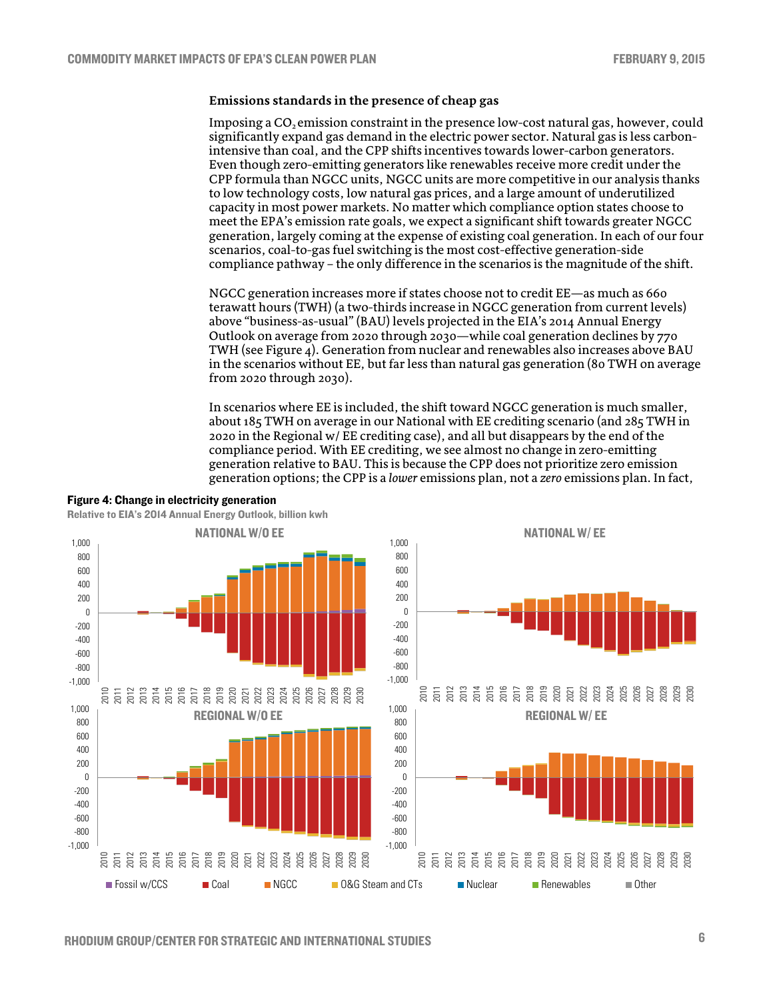#### **Emissions standards in the presence of cheap gas**

Imposing a CO<sub>2</sub> emission constraint in the presence low-cost natural gas, however, could significantly expand gas demand in the electric power sector. Natural gas is less carbonintensive than coal, and the CPP shifts incentives towards lower-carbon generators. Even though zero-emitting generators like renewables receive more credit under the CPP formula than NGCC units, NGCC units are more competitive in our analysis thanks to low technology costs, low natural gas prices, and a large amount of underutilized capacity in most power markets. No matter which compliance option states choose to meet the EPA's emission rate goals, we expect a significant shift towards greater NGCC generation, largely coming at the expense of existing coal generation. In each of our four scenarios, coal-to-gas fuel switching is the most cost-effective generation-side compliance pathway – the only difference in the scenarios is the magnitude of the shift.

NGCC generation increases more if states choose not to credit EE—as much as 660 terawatt hours (TWH) (a two-thirds increase in NGCC generation from current levels) above "business-as-usual" (BAU) levels projected in the EIA's 2014 Annual Energy Outlook on average from 2020 through 2030—while coal generation declines by 770 TWH (see Figure 4). Generation from nuclear and renewables also increases above BAU in the scenarios without EE, but far less than natural gas generation (80 TWH on average from 2020 through 2030).

In scenarios where EE is included, the shift toward NGCC generation is much smaller, about 185 TWH on average in our National with EE crediting scenario (and 285 TWH in 2020 in the Regional w/ EE crediting case), and all but disappears by the end of the compliance period. With EE crediting, we see almost no change in zero-emitting generation relative to BAU. This is because the CPP does not prioritize zero emission generation options; the CPP is a *lower* emissions plan, not a *zero* emissions plan. In fact,

#### Figure 4: Change in electricity generation

Relative to EIA's 2014 Annual Energy Outlook, billion kwh

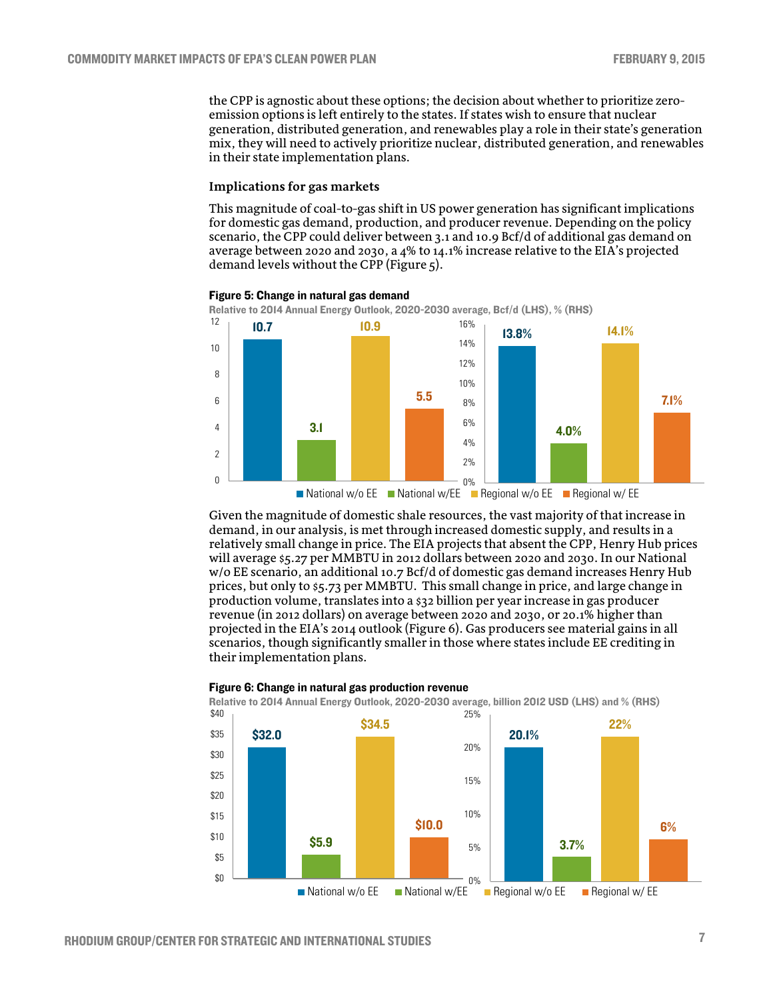the CPP is agnostic about these options; the decision about whether to prioritize zeroemission options is left entirely to the states. If states wish to ensure that nuclear generation, distributed generation, and renewables play a role in their state's generation mix, they will need to actively prioritize nuclear, distributed generation, and renewables in their state implementation plans.

## **Implications for gas markets**

This magnitude of coal-to-gas shift in US power generation has significant implications for domestic gas demand, production, and producer revenue. Depending on the policy scenario, the CPP could deliver between 3.1 and 10.9 Bcf/d of additional gas demand on average between 2020 and 2030, a 4% to 14.1% increase relative to the EIA's projected demand levels without the CPP (Figure 5).



#### Figure 5: Change in natural gas demand

Given the magnitude of domestic shale resources, the vast majority of that increase in demand, in our analysis, is met through increased domestic supply, and results in a relatively small change in price. The EIA projects that absent the CPP, Henry Hub prices will average \$5.27 per MMBTU in 2012 dollars between 2020 and 2030. In our National w/o EE scenario, an additional 10.7 Bcf/d of domestic gas demand increases Henry Hub prices, but only to \$5.73 per MMBTU. This small change in price, and large change in production volume, translates into a \$32 billion per year increase in gas producer revenue (in 2012 dollars) on average between 2020 and 2030, or 20.1% higher than projected in the EIA's 2014 outlook (Figure 6). Gas producers see material gains in all scenarios, though significantly smaller in those where states include EE crediting in National w/o EE National w/EE Regional w/o EE Regional w/ EE



#### Figure 6: Change in natural gas production revenue

their implementation plans.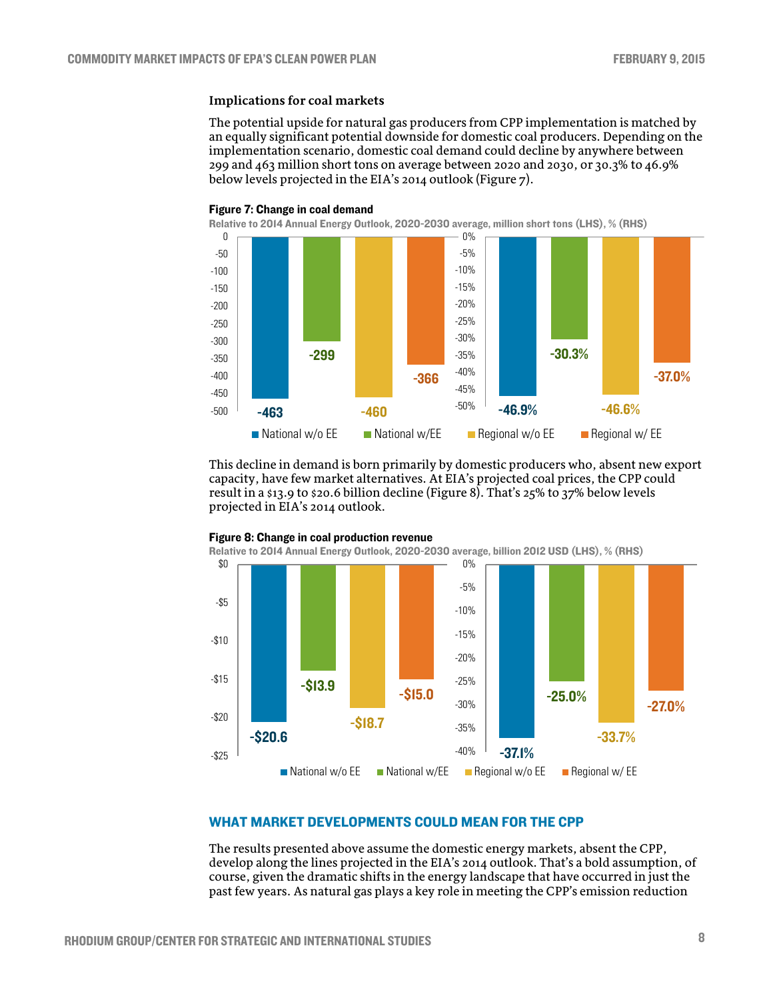## **Implications for coal markets**

The potential upside for natural gas producers from CPP implementation is matched by an equally significant potential downside for domestic coal producers. Depending on the implementation scenario, domestic coal demand could decline by anywhere between 299 and 463 million short tons on average between 2020 and 2030, or 30.3% to 46.9% below levels projected in the EIA's 2014 outlook (Figure 7).

![](_page_7_Figure_4.jpeg)

This decline in demand is born primarily by domestic producers who, absent new export capacity, have few market alternatives. At EIA's projected coal prices, the CPP could result in a \$13.9 to \$20.6 billion decline (Figure 8). That's 25% to 37% below levels projected in EIA's 2014 outlook.

![](_page_7_Figure_6.jpeg)

## Figure 8: Change in coal production revenue

Relative to 2014 Annual Energy Outlook, 2020-2030 average, billion 2012 USD (LHS), % (RHS)

## WHAT MARKET DEVELOPMENTS COULD MEAN FOR THE CPP

The results presented above assume the domestic energy markets, absent the CPP, develop along the lines projected in the EIA's 2014 outlook. That's a bold assumption, of course, given the dramatic shifts in the energy landscape that have occurred in just the past few years. As natural gas plays a key role in meeting the CPP's emission reduction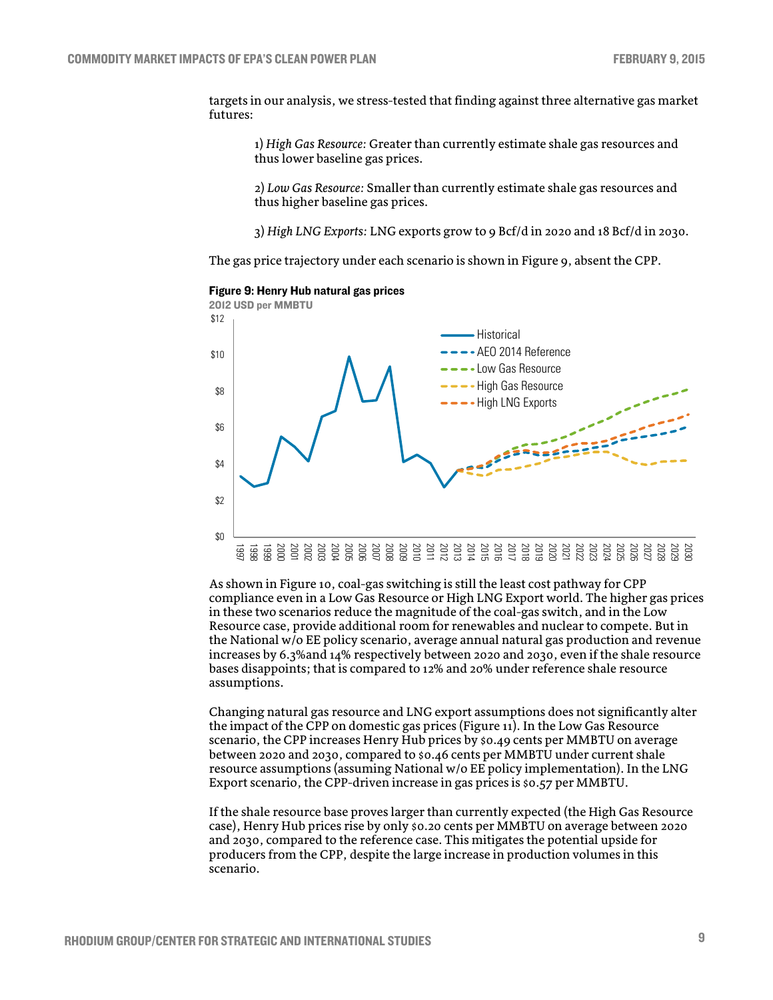targets in our analysis, we stress-tested that finding against three alternative gas market futures:

1) *High Gas Resource:* Greater than currently estimate shale gas resources and thus lower baseline gas prices.

2) *Low Gas Resource:* Smaller than currently estimate shale gas resources and thus higher baseline gas prices.

3) *High LNG Exports:* LNG exports grow to 9 Bcf/d in 2020 and 18 Bcf/d in 2030.

The gas price trajectory under each scenario is shown in Figure 9, absent the CPP.

![](_page_8_Figure_7.jpeg)

Figure 9: Henry Hub natural gas prices

As shown in Figure 10, coal-gas switching is still the least cost pathway for CPP compliance even in a Low Gas Resource or High LNG Export world. The higher gas prices in these two scenarios reduce the magnitude of the coal-gas switch, and in the Low Resource case, provide additional room for renewables and nuclear to compete. But in the National w/o EE policy scenario, average annual natural gas production and revenue increases by 6.3%and 14% respectively between 2020 and 2030, even if the shale resource bases disappoints; that is compared to 12% and 20% under reference shale resource assumptions.

Changing natural gas resource and LNG export assumptions does not significantly alter the impact of the CPP on domestic gas prices (Figure 11). In the Low Gas Resource scenario, the CPP increases Henry Hub prices by \$0.49 cents per MMBTU on average between 2020 and 2030, compared to \$0.46 cents per MMBTU under current shale resource assumptions (assuming National w/o EE policy implementation). In the LNG Export scenario, the CPP-driven increase in gas prices is \$0.57 per MMBTU.

If the shale resource base proves larger than currently expected (the High Gas Resource case), Henry Hub prices rise by only \$0.20 cents per MMBTU on average between 2020 and 2030, compared to the reference case. This mitigates the potential upside for producers from the CPP, despite the large increase in production volumes in this scenario.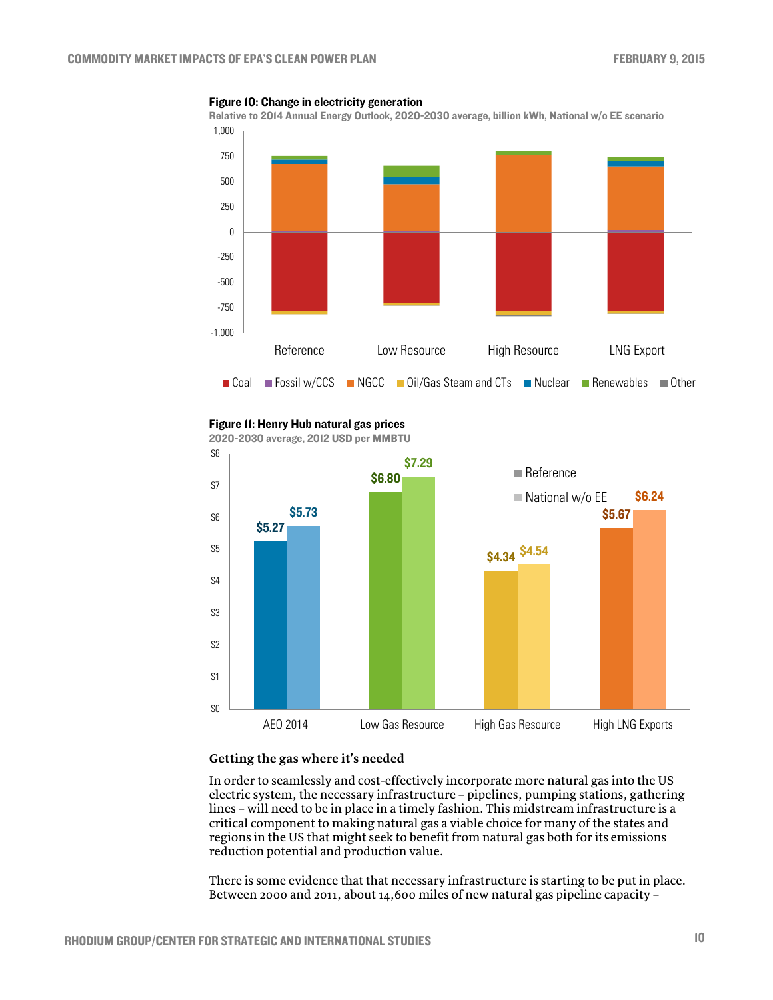![](_page_9_Figure_2.jpeg)

#### Figure 10: Change in electricity generation

#### Figure 11: Henry Hub natural gas prices

2020-2030 average, 2012 USD per MMBTU \$5.27 \$6.80 \$4.34 \$4.54 **\$5.73** \$5.67 \$5.67 \$5.67 \$5.67 \$ \$7.29 \$6.24 \$0 \$1 \$2 \$3 \$4 \$5 \$6 \$7 \$8 AEO 2014 Low Gas Resource High Gas Resource High LNG Exports **■** Reference ■ National w/o EE

#### **Getting the gas where it's needed**

In order to seamlessly and cost-effectively incorporate more natural gas into the US electric system, the necessary infrastructure – pipelines, pumping stations, gathering lines – will need to be in place in a timely fashion. This midstream infrastructure is a critical component to making natural gas a viable choice for many of the states and regions in the US that might seek to benefit from natural gas both for its emissions reduction potential and production value.

There is some evidence that that necessary infrastructure is starting to be put in place. Between 2000 and 2011, about 14,600 miles of new natural gas pipeline capacity –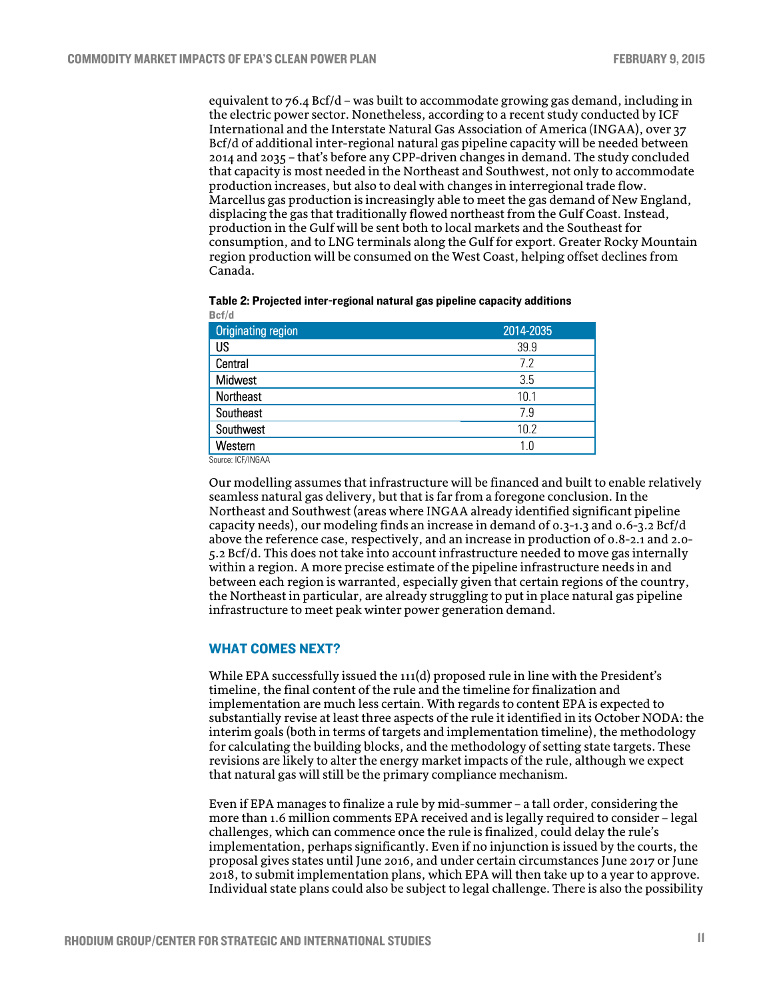equivalent to 76.4 Bcf/d – was built to accommodate growing gas demand, including in the electric power sector. Nonetheless, according to a recent study conducted by ICF International and the Interstate Natural Gas Association of America (INGAA), over 37 Bcf/d of additional inter-regional natural gas pipeline capacity will be needed between 2014 and 2035 – that's before any CPP-driven changes in demand. The study concluded that capacity is most needed in the Northeast and Southwest, not only to accommodate production increases, but also to deal with changes in interregional trade flow. Marcellus gas production is increasingly able to meet the gas demand of New England, displacing the gas that traditionally flowed northeast from the Gulf Coast. Instead, production in the Gulf will be sent both to local markets and the Southeast for consumption, and to LNG terminals along the Gulf for export. Greater Rocky Mountain region production will be consumed on the West Coast, helping offset declines from Canada.

| Table 2: Projected inter-regional natural gas pipeline capacity additions |  |  |
|---------------------------------------------------------------------------|--|--|
| Bcf/d                                                                     |  |  |

| <b>Originating region</b> | 2014-2035 |
|---------------------------|-----------|
| US                        | 39.9      |
| Central                   | 7.2       |
| Midwest                   | 3.5       |
| Northeast                 | 10.1      |
| Southeast                 | 7.9       |
| Southwest                 | 10.2      |
| Western                   | 1.0       |

Source: ICF/INGAA

Our modelling assumes that infrastructure will be financed and built to enable relatively seamless natural gas delivery, but that is far from a foregone conclusion. In the Northeast and Southwest (areas where INGAA already identified significant pipeline capacity needs), our modeling finds an increase in demand of 0.3-1.3 and 0.6-3.2 Bcf/d above the reference case, respectively, and an increase in production of 0.8-2.1 and 2.0- 5.2 Bcf/d. This does not take into account infrastructure needed to move gas internally within a region. A more precise estimate of the pipeline infrastructure needs in and between each region is warranted, especially given that certain regions of the country, the Northeast in particular, are already struggling to put in place natural gas pipeline infrastructure to meet peak winter power generation demand.

### WHAT COMES NEXT?

While EPA successfully issued the 111(d) proposed rule in line with the President's timeline, the final content of the rule and the timeline for finalization and implementation are much less certain. With regards to content EPA is expected to substantially revise at least three aspects of the rule it identified in its October NODA: the interim goals (both in terms of targets and implementation timeline), the methodology for calculating the building blocks, and the methodology of setting state targets. These revisions are likely to alter the energy market impacts of the rule, although we expect that natural gas will still be the primary compliance mechanism.

Even if EPA manages to finalize a rule by mid-summer – a tall order, considering the more than 1.6 million comments EPA received and is legally required to consider – legal challenges, which can commence once the rule is finalized, could delay the rule's implementation, perhaps significantly. Even if no injunction is issued by the courts, the proposal gives states until June 2016, and under certain circumstances June 2017 or June 2018, to submit implementation plans, which EPA will then take up to a year to approve. Individual state plans could also be subject to legal challenge. There is also the possibility